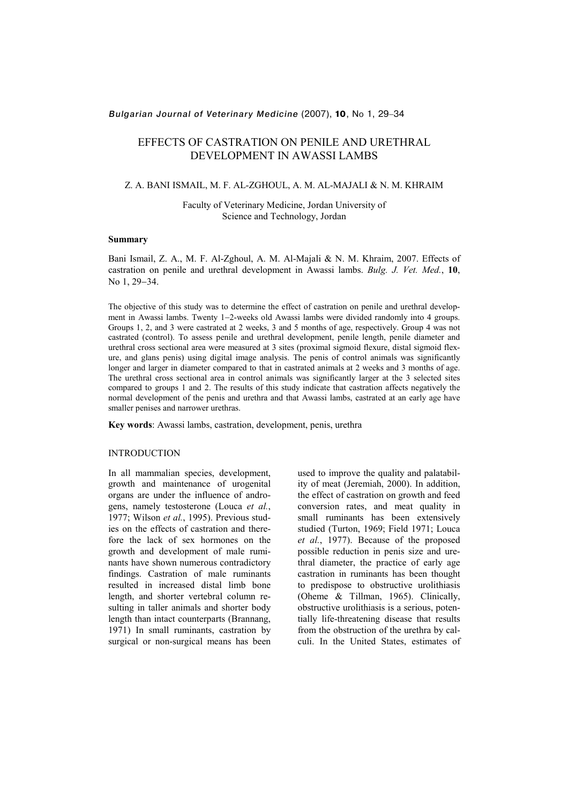# Bulgarian Journal of Veterinary Medicine (2007), 10, No 1, 29−34

# EFFECTS OF CASTRATION ON PENILE AND URETHRAL DEVELOPMENT IN AWASSI LAMBS

# Z. A. BANI ISMAIL, M. F. AL-ZGHOUL, A. M. AL-MAJALI & N. M. KHRAIM

Faculty of Veterinary Medicine, Jordan University of Science and Technology, Jordan

# Summary

Bani Ismail, Z. A., M. F. Al-Zghoul, A. M. Al-Majali & N. M. Khraim, 2007. Effects of castration on penile and urethral development in Awassi lambs. Bulg. J. Vet. Med., 10, No 1, 29–34.

The objective of this study was to determine the effect of castration on penile and urethral development in Awassi lambs. Twenty 1−2-weeks old Awassi lambs were divided randomly into 4 groups. Groups 1, 2, and 3 were castrated at 2 weeks, 3 and 5 months of age, respectively. Group 4 was not castrated (control). To assess penile and urethral development, penile length, penile diameter and urethral cross sectional area were measured at 3 sites (proximal sigmoid flexure, distal sigmoid flexure, and glans penis) using digital image analysis. The penis of control animals was significantly longer and larger in diameter compared to that in castrated animals at 2 weeks and 3 months of age. The urethral cross sectional area in control animals was significantly larger at the 3 selected sites compared to groups 1 and 2. The results of this study indicate that castration affects negatively the normal development of the penis and urethra and that Awassi lambs, castrated at an early age have smaller penises and narrower urethras.

Key words: Awassi lambs, castration, development, penis, urethra

#### INTRODUCTION

In all mammalian species, development, growth and maintenance of urogenital organs are under the influence of androgens, namely testosterone (Louca et al., 1977; Wilson et al., 1995). Previous studies on the effects of castration and therefore the lack of sex hormones on the growth and development of male ruminants have shown numerous contradictory findings. Castration of male ruminants resulted in increased distal limb bone length, and shorter vertebral column resulting in taller animals and shorter body length than intact counterparts (Brannang, 1971) In small ruminants, castration by surgical or non-surgical means has been used to improve the quality and palatability of meat (Jeremiah, 2000). In addition, the effect of castration on growth and feed conversion rates, and meat quality in small ruminants has been extensively studied (Turton, 1969; Field 1971; Louca et al., 1977). Because of the proposed possible reduction in penis size and urethral diameter, the practice of early age castration in ruminants has been thought to predispose to obstructive urolithiasis (Oheme & Tillman, 1965). Clinically, obstructive urolithiasis is a serious, potentially life-threatening disease that results from the obstruction of the urethra by calculi. In the United States, estimates of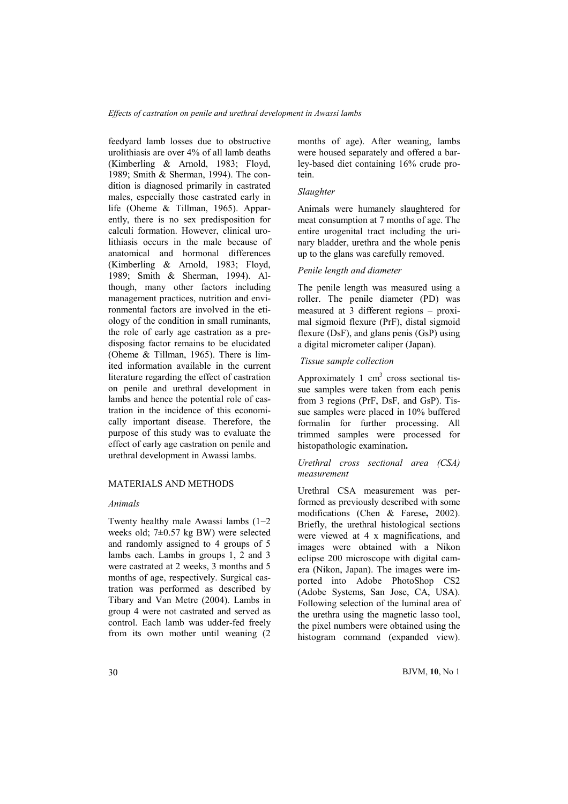feedyard lamb losses due to obstructive urolithiasis are over 4% of all lamb deaths (Kimberling & Arnold, 1983; Floyd, 1989; Smith & Sherman, 1994). The condition is diagnosed primarily in castrated males, especially those castrated early in life (Oheme & Tillman, 1965). Apparently, there is no sex predisposition for calculi formation. However, clinical urolithiasis occurs in the male because of anatomical and hormonal differences (Kimberling & Arnold, 1983; Floyd, 1989; Smith & Sherman, 1994). Although, many other factors including management practices, nutrition and environmental factors are involved in the etiology of the condition in small ruminants, the role of early age castration as a predisposing factor remains to be elucidated (Oheme & Tillman, 1965). There is limited information available in the current literature regarding the effect of castration on penile and urethral development in lambs and hence the potential role of castration in the incidence of this economically important disease. Therefore, the purpose of this study was to evaluate the effect of early age castration on penile and urethral development in Awassi lambs.

# MATERIALS AND METHODS

## Animals

Twenty healthy male Awassi lambs (1−2 weeks old; 7±0.57 kg BW) were selected and randomly assigned to 4 groups of 5 lambs each. Lambs in groups 1, 2 and 3 were castrated at 2 weeks, 3 months and 5 months of age, respectively. Surgical castration was performed as described by Tibary and Van Metre (2004). Lambs in group 4 were not castrated and served as control. Each lamb was udder-fed freely from its own mother until weaning (2 months of age). After weaning, lambs were housed separately and offered a barley-based diet containing 16% crude protein.

#### Slaughter

Animals were humanely slaughtered for meat consumption at 7 months of age. The entire urogenital tract including the urinary bladder, urethra and the whole penis up to the glans was carefully removed.

# Penile length and diameter

The penile length was measured using a roller. The penile diameter (PD) was measured at 3 different regions − proximal sigmoid flexure (PrF), distal sigmoid flexure (DsF), and glans penis (GsP) using a digital micrometer caliper (Japan).

# Tissue sample collection

Approximately 1  $\text{cm}^3$  cross sectional tissue samples were taken from each penis from 3 regions (PrF, DsF, and GsP). Tissue samples were placed in 10% buffered formalin for further processing. All trimmed samples were processed for histopathologic examination.

## Urethral cross sectional area (CSA) measurement

Urethral CSA measurement was performed as previously described with some modifications (Chen & Farese, 2002). Briefly, the urethral histological sections were viewed at 4 x magnifications, and images were obtained with a Nikon eclipse 200 microscope with digital camera (Nikon, Japan). The images were imported into Adobe PhotoShop CS2 (Adobe Systems, San Jose, CA, USA). Following selection of the luminal area of the urethra using the magnetic lasso tool, the pixel numbers were obtained using the histogram command (expanded view).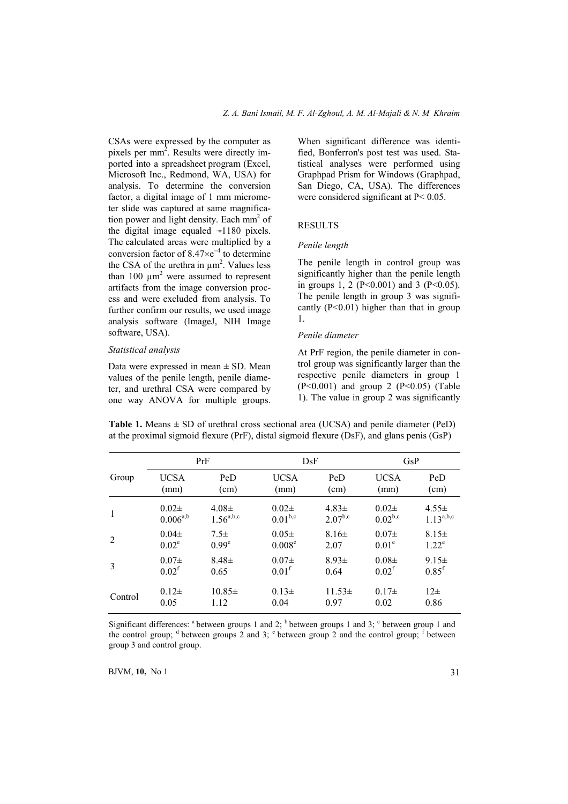CSAs were expressed by the computer as pixels per mm<sup>2</sup>. Results were directly imported into a spreadsheet program (Excel, Microsoft Inc., Redmond, WA, USA) for analysis. To determine the conversion factor, a digital image of 1 mm micrometer slide was captured at same magnification power and light density. Each  $mm<sup>2</sup>$  of the digital image equaled  $-1180$  pixels. The calculated areas were multiplied by a conversion factor of  $8.47 \times e^{-4}$  to determine the CSA of the urethra in  $\mu$ m<sup>2</sup>. Values less than 100  $\mu$ m<sup>2</sup> were assumed to represent artifacts from the image conversion process and were excluded from analysis. To further confirm our results, we used image analysis software (ImageJ, NIH Image software, USA).

# Statistical analysis

Data were expressed in mean  $\pm$  SD. Mean values of the penile length, penile diameter, and urethral CSA were compared by one way ANOVA for multiple groups.

When significant difference was identified, Bonferron's post test was used. Statistical analyses were performed using Graphpad Prism for Windows (Graphpad, San Diego, CA, USA). The differences were considered significant at P< 0.05.

# RESULTS

## Penile length

The penile length in control group was significantly higher than the penile length in groups 1, 2 (P<0.001) and 3 (P<0.05). The penile length in group 3 was significantly  $(P<0.01)$  higher than that in group 1.

# Penile diameter

At PrF region, the penile diameter in control group was significantly larger than the respective penile diameters in group 1  $(P<0.001)$  and group 2  $(P<0.05)$  (Table 1). The value in group 2 was significantly

**Table 1.** Means  $\pm$  SD of urethral cross sectional area (UCSA) and penile diameter (PeD) at the proximal sigmoid flexure (PrF), distal sigmoid flexure (DsF), and glans penis (GsP)

|                | PrF               |                   | DsF                 |              | G <sub>S</sub> P  |                     |
|----------------|-------------------|-------------------|---------------------|--------------|-------------------|---------------------|
| Group          | <b>UCSA</b>       | PeD               | <b>UCSA</b>         | PeD          | <b>UCSA</b>       | PeD                 |
|                | (mm)              | (cm)              | (mm)                | (cm)         | (mm)              | (cm)                |
| 1              | $0.02\pm$         | $4.08\pm$         | $0.02\pm$           | $4.83\pm$    | $0.02\pm$         | $4.55\pm$           |
|                | $0.006^{a,b}$     | $1.56^{a,b,c}$    | 0.01 <sup>b,c</sup> | $2.07^{b,c}$ | $0.02^{b,c}$      | $1.13^{a,b,c}$      |
| $\overline{2}$ | $0.04\pm$         | $7.5\pm$          | $0.05\pm$           | $8.16\pm$    | $0.07\pm$         | $8.15 \pm$          |
|                | $0.02^e$          | 0.99 <sup>e</sup> | 0.008 <sup>e</sup>  | 2.07         | 0.01 <sup>e</sup> | $1.22^e$            |
| 3              | $0.07\pm$         | $8.48\pm$         | $0.07\pm$           | $8.93 \pm$   | $0.08\pm$         | $9.15 \pm$          |
|                | 0.02 <sup>f</sup> | 0.65              | 0.01 <sup>f</sup>   | 0.64         | $0.02^{\rm f}$    | $0.85$ <sup>f</sup> |
| Control        | $0.12\pm$         | $10.85\pm$        | $0.13\pm$           | $11.53 \pm$  | $0.17\pm$         | $12\pm$             |
|                | 0.05              | 1.12              | 0.04                | 0.97         | 0.02              | 0.86                |

Significant differences:  $a$  between groups 1 and 2;  $b$  between groups 1 and 3;  $c$  between group 1 and the control group;  $d$  between groups 2 and 3;  $e$  between group 2 and the control group; f between group 3 and control group.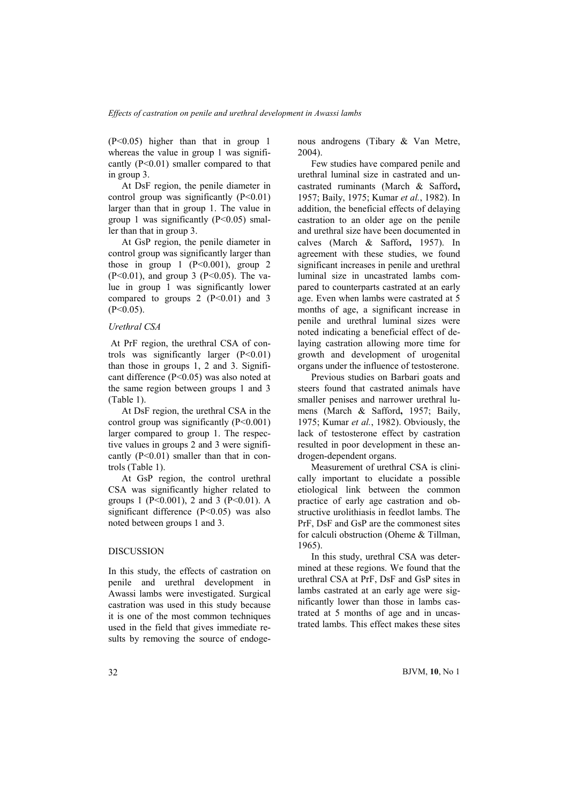(P<0.05) higher than that in group 1 whereas the value in group 1 was significantly (P<0.01) smaller compared to that in group 3.

At DsF region, the penile diameter in control group was significantly  $(P<0.01)$ larger than that in group 1. The value in group 1 was significantly  $(P<0.05)$  smaller than that in group 3.

At GsP region, the penile diameter in control group was significantly larger than those in group 1  $(P<0.001)$ , group 2  $(P<0.01)$ , and group 3  $(P<0.05)$ . The value in group 1 was significantly lower compared to groups  $2 (P<0.01)$  and 3  $(P<0.05)$ .

## Urethral CSA

 At PrF region, the urethral CSA of controls was significantly larger  $(P<0.01)$ than those in groups 1, 2 and 3. Significant difference (P<0.05) was also noted at the same region between groups 1 and 3 (Table 1).

At DsF region, the urethral CSA in the control group was significantly  $(P<0.001)$ larger compared to group 1. The respective values in groups 2 and 3 were significantly  $(P<0.01)$  smaller than that in controls (Table 1).

At GsP region, the control urethral CSA was significantly higher related to groups 1 (P<0.001), 2 and 3 (P<0.01). A significant difference (P<0.05) was also noted between groups 1 and 3.

# DISCUSSION

In this study, the effects of castration on penile and urethral development in Awassi lambs were investigated. Surgical castration was used in this study because it is one of the most common techniques used in the field that gives immediate results by removing the source of endogenous androgens (Tibary & Van Metre, 2004).

Few studies have compared penile and urethral luminal size in castrated and uncastrated ruminants (March & Safford, 1957; Baily, 1975; Kumar et al., 1982). In addition, the beneficial effects of delaying castration to an older age on the penile and urethral size have been documented in calves (March & Safford, 1957). In agreement with these studies, we found significant increases in penile and urethral luminal size in uncastrated lambs compared to counterparts castrated at an early age. Even when lambs were castrated at 5 months of age, a significant increase in penile and urethral luminal sizes were noted indicating a beneficial effect of delaying castration allowing more time for growth and development of urogenital organs under the influence of testosterone.

Previous studies on Barbari goats and steers found that castrated animals have smaller penises and narrower urethral lumens (March & Safford, 1957; Baily, 1975; Kumar et al., 1982). Obviously, the lack of testosterone effect by castration resulted in poor development in these androgen-dependent organs.

Measurement of urethral CSA is clinically important to elucidate a possible etiological link between the common practice of early age castration and obstructive urolithiasis in feedlot lambs. The PrF, DsF and GsP are the commonest sites for calculi obstruction (Oheme & Tillman, 1965).

In this study, urethral CSA was determined at these regions. We found that the urethral CSA at PrF, DsF and GsP sites in lambs castrated at an early age were significantly lower than those in lambs castrated at 5 months of age and in uncastrated lambs. This effect makes these sites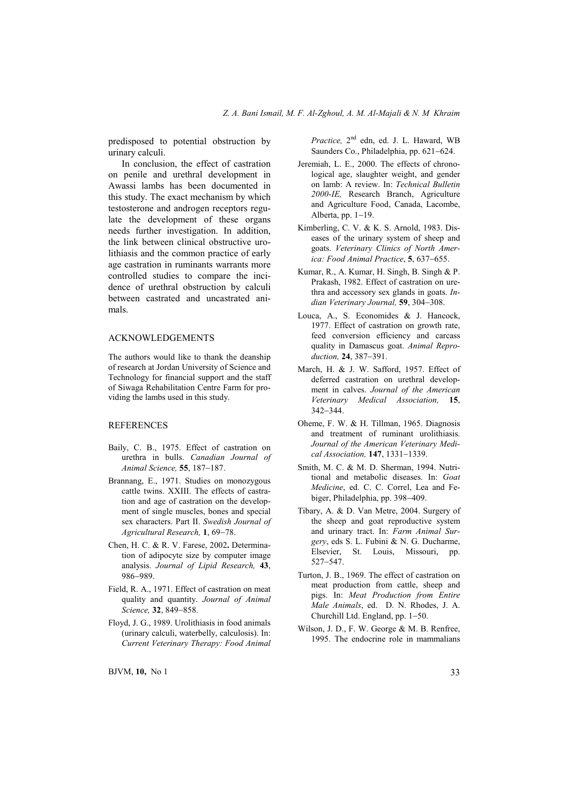predisposed to potential obstruction by urinary calculi.

In conclusion, the effect of castration on penile and urethral development in Awassi lambs has been documented in this study. The exact mechanism by which testosterone and androgen receptors regulate the development of these organs needs further investigation. In addition, the link between clinical obstructive urolithiasis and the common practice of early age castration in ruminants warrants more controlled studies to compare the incidence of urethral obstruction by calculi between castrated and uncastrated animals.

## ACKNOWLEDGEMENTS

The authors would like to thank the deanship of research at Jordan University of Science and Technology for financial support and the staff of Siwaga Rehabilitation Centre Farm for providing the lambs used in this study.

## REFERENCES

- Baily, C. B., 1975. Effect of castration on urethra in bulls. Canadian Journal of Animal Science, 55, 187−187.
- Brannang, E., 1971. Studies on monozygous cattle twins. XXIII. The effects of castration and age of castration on the development of single muscles, bones and special sex characters. Part II. Swedish Journal of Agricultural Research, 1, 69−78.
- Chen, H. C. & R. V. Farese, 2002. Determination of adipocyte size by computer image analysis. Journal of Lipid Research, 43, 986−989.
- Field, R. A., 1971. Effect of castration on meat quality and quantity. Journal of Animal Science, 32, 849−858.
- Floyd, J. G., 1989. Urolithiasis in food animals (urinary calculi, waterbelly, calculosis). In: Current Veterinary Therapy: Food Animal

Practice, 2<sup>nd</sup> edn, ed. J. L. Haward, WB Saunders Co., Philadelphia, pp. 621−624.

- Jeremiah, L. E., 2000. The effects of chronological age, slaughter weight, and gender on lamb: A review. In: Technical Bulletin 2000-IE, Research Branch, Agriculture and Agriculture Food, Canada, Lacombe, Alberta, pp. 1−19.
- Kimberling, C. V. & K. S. Arnold, 1983. Diseases of the urinary system of sheep and goats. Veterinary Clinics of North America: Food Animal Practice, 5, 637−655.
- Kumar, R., A. Kumar, H. Singh, B. Singh & P. Prakash, 1982. Effect of castration on urethra and accessory sex glands in goats. Indian Veterinary Journal, 59, 304−308.
- Louca, A., S. Economides & J. Hancock, 1977. Effect of castration on growth rate, feed conversion efficiency and carcass quality in Damascus goat. Animal Reproduction, 24, 387−391.
- March, H. & J. W. Safford, 1957. Effect of deferred castration on urethral development in calves. Journal of the American Veterinary Medical Association, 15, 342−344.
- Oheme, F. W. & H. Tillman, 1965. Diagnosis and treatment of ruminant urolithiasis. Journal of the American Veterinary Medical Association, 147, 1331−1339.
- Smith, M. C. & M. D. Sherman, 1994. Nutritional and metabolic diseases. In: Goat Medicine, ed. C. C. Correl, Lea and Febiger, Philadelphia, pp. 398−409.
- Tibary, A. & D. Van Metre, 2004. Surgery of the sheep and goat reproductive system and urinary tract. In: Farm Animal Surgery, eds S. L. Fubini & N. G. Ducharme, Elsevier, St. Louis, Missouri, pp. 527−547.
- Turton, J. B., 1969. The effect of castration on meat production from cattle, sheep and pigs. In: Meat Production from Entire Male Animals, ed. D. N. Rhodes, J. A. Churchill Ltd. England, pp. 1−50.
- Wilson, J. D., F. W. George & M. B. Renfree, 1995. The endocrine role in mammalians

 $BJVM$ , 10, No 1 33